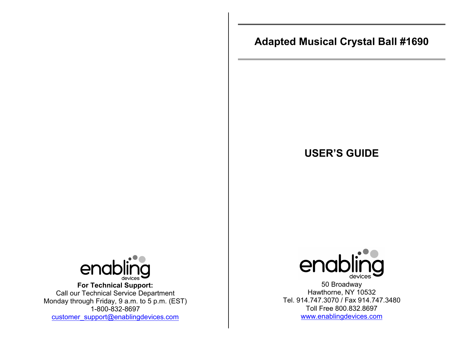# **Adapted Musical Crystal Ball #1690**

## **USER'S GUIDE**



**For Technical Support:**  Call our Technical Service Department Monday through Friday, 9 a.m. to 5 p.m. (EST) 1-800-832-8697 customer\_support@enablingdevices.com



50 Broadway Hawthorne, NY 10532 Tel. 914.747.3070 / Fax 914.747.3480 Toll Free 800.832.8697 www.enablingdevices.com